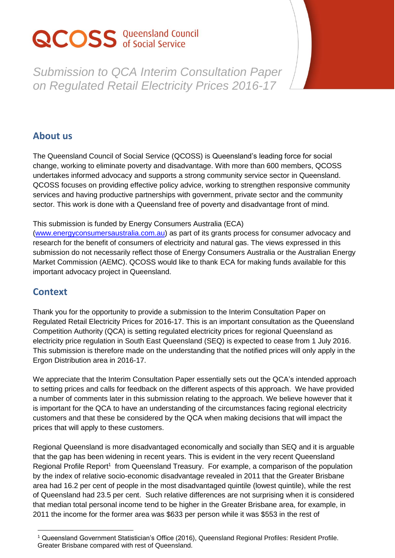# **QCOSS** Queensland Council

*Submission to QCA Interim Consultation Paper on Regulated Retail Electricity Prices 2016-17*

#### **About us**

The Queensland Council of Social Service (QCOSS) is Queensland's leading force for social change, working to eliminate poverty and disadvantage. With more than 600 members, QCOSS undertakes informed advocacy and supports a strong community service sector in Queensland. QCOSS focuses on providing effective policy advice, working to strengthen responsive community services and having productive partnerships with government, private sector and the community sector. This work is done with a Queensland free of poverty and disadvantage front of mind.

#### This submission is funded by Energy Consumers Australia (ECA)

[\(www.energyconsumersaustralia.com.au\)](http://www.energyconsumersaustralia.com.au/) as part of its grants process for consumer advocacy and research for the benefit of consumers of electricity and natural gas. The views expressed in this submission do not necessarily reflect those of Energy Consumers Australia or the Australian Energy Market Commission (AEMC). QCOSS would like to thank ECA for making funds available for this important advocacy project in Queensland.

## **Context**

Thank you for the opportunity to provide a submission to the Interim Consultation Paper on Regulated Retail Electricity Prices for 2016-17. This is an important consultation as the Queensland Competition Authority (QCA) is setting regulated electricity prices for regional Queensland as electricity price regulation in South East Queensland (SEQ) is expected to cease from 1 July 2016. This submission is therefore made on the understanding that the notified prices will only apply in the Ergon Distribution area in 2016-17.

We appreciate that the Interim Consultation Paper essentially sets out the QCA's intended approach to setting prices and calls for feedback on the different aspects of this approach. We have provided a number of comments later in this submission relating to the approach. We believe however that it is important for the QCA to have an understanding of the circumstances facing regional electricity customers and that these be considered by the QCA when making decisions that will impact the prices that will apply to these customers.

Regional Queensland is more disadvantaged economically and socially than SEQ and it is arguable that the gap has been widening in recent years. This is evident in the very recent Queensland Regional Profile Report<sup>1</sup> from Queensland Treasury. For example, a comparison of the population by the index of relative socio-economic disadvantage revealed in 2011 that the Greater Brisbane area had 16.2 per cent of people in the most disadvantaged quintile (lowest quintile), while the rest of Queensland had 23.5 per cent. Such relative differences are not surprising when it is considered that median total personal income tend to be higher in the Greater Brisbane area, for example, in 2011 the income for the former area was \$633 per person while it was \$553 in the rest of

 $\overline{a}$ <sup>1</sup> Queensland Government Statistician's Office (2016), Queensland Regional Profiles: Resident Profile. Greater Brisbane compared with rest of Queensland.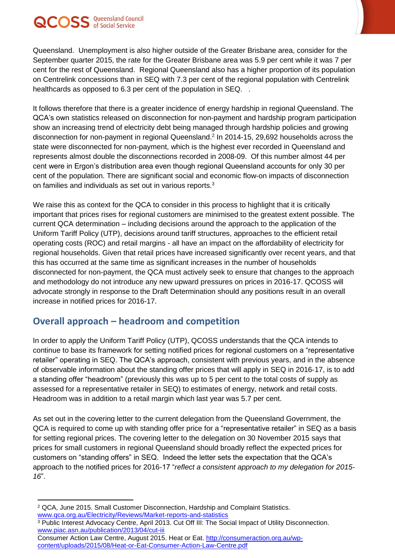# QCOSS Queensland Council

Queensland. Unemployment is also higher outside of the Greater Brisbane area, consider for the September quarter 2015, the rate for the Greater Brisbane area was 5.9 per cent while it was 7 per cent for the rest of Queensland. Regional Queensland also has a higher proportion of its population on Centrelink concessions than in SEQ with 7.3 per cent of the regional population with Centrelink healthcards as opposed to 6.3 per cent of the population in SEQ. .

It follows therefore that there is a greater incidence of energy hardship in regional Queensland. The QCA's own statistics released on disconnection for non-payment and hardship program participation show an increasing trend of electricity debt being managed through hardship policies and growing disconnection for non-payment in regional Queensland. 2 In 2014-15, 29,692 households across the state were disconnected for non-payment, which is the highest ever recorded in Queensland and represents almost double the disconnections recorded in 2008-09. Of this number almost 44 per cent were in Ergon's distribution area even though regional Queensland accounts for only 30 per cent of the population. There are significant social and economic flow-on impacts of disconnection on families and individuals as set out in various reports. 3

We raise this as context for the QCA to consider in this process to highlight that it is critically important that prices rises for regional customers are minimised to the greatest extent possible. The current QCA determination – including decisions around the approach to the application of the Uniform Tariff Policy (UTP), decisions around tariff structures, approaches to the efficient retail operating costs (ROC) and retail margins - all have an impact on the affordability of electricity for regional households. Given that retail prices have increased significantly over recent years, and that this has occurred at the same time as significant increases in the number of households disconnected for non-payment, the QCA must actively seek to ensure that changes to the approach and methodology do not introduce any new upward pressures on prices in 2016-17. QCOSS will advocate strongly in response to the Draft Determination should any positions result in an overall increase in notified prices for 2016-17.

## **Overall approach – headroom and competition**

In order to apply the Uniform Tariff Policy (UTP), QCOSS understands that the QCA intends to continue to base its framework for setting notified prices for regional customers on a "representative retailer" operating in SEQ. The QCA's approach, consistent with previous years, and in the absence of observable information about the standing offer prices that will apply in SEQ in 2016‐17, is to add a standing offer "headroom" (previously this was up to 5 per cent to the total costs of supply as assessed for a representative retailer in SEQ) to estimates of energy, network and retail costs. Headroom was in addition to a retail margin which last year was 5.7 per cent.

As set out in the covering letter to the current delegation from the Queensland Government, the QCA is required to come up with standing offer price for a "representative retailer" in SEQ as a basis for setting regional prices. The covering letter to the delegation on 30 November 2015 says that prices for small customers in regional Queensland should broadly reflect the expected prices for customers on "standing offers" in SEQ. Indeed the letter sets the expectation that the QCA's approach to the notified prices for 2016-17 "*reflect a consistent approach to my delegation for 2015- 16*".

 $\overline{a}$ 

<sup>2</sup> QCA, June 2015. Small Customer Disconnection, Hardship and Complaint Statistics. www.qca.org.au/Electricity/Reviews/Market-reports-and-statistics

<sup>3</sup> Public Interest Advocacy Centre, April 2013. Cut Off III: The Social Impact of Utility Disconnection. [www.piac.asn.au/publication/2013/04/cut-iii](http://www.piac.asn.au/publication/2013/04/cut-iii)

Consumer Action Law Centre, August 2015. Heat or Eat. [http://consumeraction.org.au/wp](http://consumeraction.org.au/wp-content/uploads/2015/08/Heat-or-Eat-Consumer-Action-Law-Centre.pdf)[content/uploads/2015/08/Heat-or-Eat-Consumer-Action-Law-Centre.pdf](http://consumeraction.org.au/wp-content/uploads/2015/08/Heat-or-Eat-Consumer-Action-Law-Centre.pdf)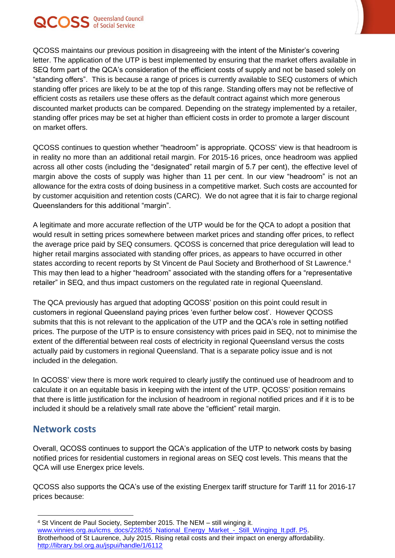

QCOSS maintains our previous position in disagreeing with the intent of the Minister's covering letter. The application of the UTP is best implemented by ensuring that the market offers available in SEQ form part of the QCA's consideration of the efficient costs of supply and not be based solely on "standing offers". This is because a range of prices is currently available to SEQ customers of which standing offer prices are likely to be at the top of this range. Standing offers may not be reflective of efficient costs as retailers use these offers as the default contract against which more generous discounted market products can be compared. Depending on the strategy implemented by a retailer, standing offer prices may be set at higher than efficient costs in order to promote a larger discount on market offers.

QCOSS continues to question whether "headroom" is appropriate. QCOSS' view is that headroom is in reality no more than an additional retail margin. For 2015-16 prices, once headroom was applied across all other costs (including the "designated" retail margin of 5.7 per cent), the effective level of margin above the costs of supply was higher than 11 per cent. In our view "headroom" is not an allowance for the extra costs of doing business in a competitive market. Such costs are accounted for by customer acquisition and retention costs (CARC). We do not agree that it is fair to charge regional Queenslanders for this additional "margin".

A legitimate and more accurate reflection of the UTP would be for the QCA to adopt a position that would result in setting prices somewhere between market prices and standing offer prices, to reflect the average price paid by SEQ consumers. QCOSS is concerned that price deregulation will lead to higher retail margins associated with standing offer prices, as appears to have occurred in other states according to recent reports by St Vincent de Paul Society and Brotherhood of St Lawrence. 4 This may then lead to a higher "headroom" associated with the standing offers for a "representative retailer" in SEQ, and thus impact customers on the regulated rate in regional Queensland.

The QCA previously has argued that adopting QCOSS' position on this point could result in customers in regional Queensland paying prices 'even further below cost'. However QCOSS submits that this is not relevant to the application of the UTP and the QCA's role in setting notified prices. The purpose of the UTP is to ensure consistency with prices paid in SEQ, not to minimise the extent of the differential between real costs of electricity in regional Queensland versus the costs actually paid by customers in regional Queensland. That is a separate policy issue and is not included in the delegation.

In QCOSS' view there is more work required to clearly justify the continued use of headroom and to calculate it on an equitable basis in keeping with the intent of the UTP. QCOSS' position remains that there is little justification for the inclusion of headroom in regional notified prices and if it is to be included it should be a relatively small rate above the "efficient" retail margin.

#### **Network costs**

Overall, QCOSS continues to support the QCA's application of the UTP to network costs by basing notified prices for residential customers in regional areas on SEQ cost levels. This means that the QCA will use Energex price levels.

QCOSS also supports the QCA's use of the existing Energex tariff structure for Tariff 11 for 2016-17 prices because:

 $\overline{a}$ <sup>4</sup> St Vincent de Paul Society, September 2015. The NEM – still winging it. [www.vinnies.org.au/icms\\_docs/228265\\_National\\_Energy\\_Market\\_-\\_Still\\_Winging\\_It.pdf. P5.](http://www.vinnies.org.au/icms_docs/228265_National_Energy_Market_-_Still_Winging_It.pdf.%20P5) Brotherhood of St Laurence, July 2015. Rising retail costs and their impact on energy affordability. <http://library.bsl.org.au/jspui/handle/1/6112>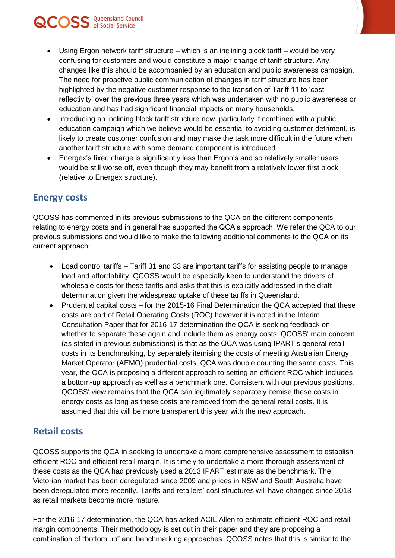- Using Ergon network tariff structure which is an inclining block tariff would be very confusing for customers and would constitute a major change of tariff structure. Any changes like this should be accompanied by an education and public awareness campaign. The need for proactive public communication of changes in tariff structure has been highlighted by the negative customer response to the transition of Tariff 11 to 'cost reflectivity' over the previous three years which was undertaken with no public awareness or education and has had significant financial impacts on many households.
- Introducing an inclining block tariff structure now, particularly if combined with a public education campaign which we believe would be essential to avoiding customer detriment, is likely to create customer confusion and may make the task more difficult in the future when another tariff structure with some demand component is introduced.
- Energex's fixed charge is significantly less than Ergon's and so relatively smaller users would be still worse off, even though they may benefit from a relatively lower first block (relative to Energex structure).

#### **Energy costs**

QCOSS Queensland Council

QCOSS has commented in its previous submissions to the QCA on the different components relating to energy costs and in general has supported the QCA's approach. We refer the QCA to our previous submissions and would like to make the following additional comments to the QCA on its current approach:

- Load control tariffs Tariff 31 and 33 are important tariffs for assisting people to manage load and affordability. QCOSS would be especially keen to understand the drivers of wholesale costs for these tariffs and asks that this is explicitly addressed in the draft determination given the widespread uptake of these tariffs in Queensland.
- Prudential capital costs for the 2015-16 Final Determination the QCA accepted that these costs are part of Retail Operating Costs (ROC) however it is noted in the Interim Consultation Paper that for 2016-17 determination the QCA is seeking feedback on whether to separate these again and include them as energy costs. QCOSS' main concern (as stated in previous submissions) is that as the QCA was using IPART's general retail costs in its benchmarking, by separately itemising the costs of meeting Australian Energy Market Operator (AEMO) prudential costs, QCA was double counting the same costs. This year, the QCA is proposing a different approach to setting an efficient ROC which includes a bottom-up approach as well as a benchmark one. Consistent with our previous positions, QCOSS' view remains that the QCA can legitimately separately itemise these costs in energy costs as long as these costs are removed from the general retail costs. It is assumed that this will be more transparent this year with the new approach.

#### **Retail costs**

QCOSS supports the QCA in seeking to undertake a more comprehensive assessment to establish efficient ROC and efficient retail margin. It is timely to undertake a more thorough assessment of these costs as the QCA had previously used a 2013 IPART estimate as the benchmark. The Victorian market has been deregulated since 2009 and prices in NSW and South Australia have been deregulated more recently. Tariffs and retailers' cost structures will have changed since 2013 as retail markets become more mature.

For the 2016-17 determination, the QCA has asked ACIL Allen to estimate efficient ROC and retail margin components. Their methodology is set out in their paper and they are proposing a combination of "bottom up" and benchmarking approaches. QCOSS notes that this is similar to the